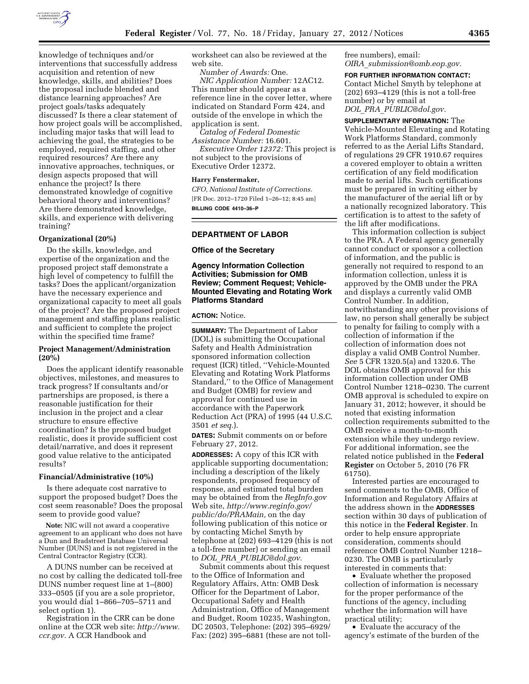

knowledge of techniques and/or interventions that successfully address acquisition and retention of new knowledge, skills, and abilities? Does the proposal include blended and distance learning approaches? Are project goals/tasks adequately discussed? Is there a clear statement of how project goals will be accomplished, including major tasks that will lead to achieving the goal, the strategies to be employed, required staffing, and other required resources? Are there any innovative approaches, techniques, or design aspects proposed that will enhance the project? Is there demonstrated knowledge of cognitive behavioral theory and interventions? Are there demonstrated knowledge, skills, and experience with delivering training?

# **Organizational (20%)**

Do the skills, knowledge, and expertise of the organization and the proposed project staff demonstrate a high level of competency to fulfill the tasks? Does the applicant/organization have the necessary experience and organizational capacity to meet all goals of the project? Are the proposed project management and staffing plans realistic and sufficient to complete the project within the specified time frame?

# **Project Management/Administration (20%)**

Does the applicant identify reasonable objectives, milestones, and measures to track progress? If consultants and/or partnerships are proposed, is there a reasonable justification for their inclusion in the project and a clear structure to ensure effective coordination? Is the proposed budget realistic, does it provide sufficient cost detail/narrative, and does it represent good value relative to the anticipated results?

#### **Financial/Administrative (10%)**

Is there adequate cost narrative to support the proposed budget? Does the cost seem reasonable? Does the proposal seem to provide good value?

**Note:** NIC will not award a cooperative agreement to an applicant who does not have a Dun and Bradstreet Database Universal Number (DUNS) and is not registered in the Central Contractor Registry (CCR).

A DUNS number can be received at no cost by calling the dedicated toll-free DUNS number request line at 1–(800) 333–0505 (if you are a sole proprietor, you would dial 1–866–705–5711 and select option 1).

Registration in the CRR can be done online at the CCR web site: *[http://www.](http://www.ccr.gov) [ccr.gov.](http://www.ccr.gov)* A CCR Handbook and

worksheet can also be reviewed at the web site.

*Number of Awards:* One. *NIC Application Number:* 12AC12. This number should appear as a reference line in the cover letter, where indicated on Standard Form 424, and outside of the envelope in which the application is sent.

*Catalog of Federal Domestic Assistance Number:* 16.601.

*Executive Order 12372:* This project is not subject to the provisions of Executive Order 12372.

# **Harry Fenstermaker,**

*CFO, National Institute of Corrections.*  [FR Doc. 2012–1720 Filed 1–26–12; 8:45 am] **BILLING CODE 4410–36–P** 

## **DEPARTMENT OF LABOR**

**Office of the Secretary** 

# **Agency Information Collection Activities; Submission for OMB Review; Comment Request; Vehicle-Mounted Elevating and Rotating Work Platforms Standard**

**ACTION:** Notice.

**SUMMARY:** The Department of Labor (DOL) is submitting the Occupational Safety and Health Administration sponsored information collection request (ICR) titled, ''Vehicle-Mounted Elevating and Rotating Work Platforms Standard,'' to the Office of Management and Budget (OMB) for review and approval for continued use in accordance with the Paperwork Reduction Act (PRA) of 1995 (44 U.S.C. 3501 *et seq.*).

**DATES:** Submit comments on or before February 27, 2012.

**ADDRESSES:** A copy of this ICR with applicable supporting documentation; including a description of the likely respondents, proposed frequency of response, and estimated total burden may be obtained from the *RegInfo.gov*  Web site, *[http://www.reginfo.gov/](http://www.reginfo.gov/public/do/PRAMain)  [public/do/PRAMain,](http://www.reginfo.gov/public/do/PRAMain)* on the day following publication of this notice or by contacting Michel Smyth by telephone at (202) 693–4129 (this is not a toll-free number) or sending an email to *DOL*\_*PRA*\_*[PUBLIC@dol.gov.](mailto:DOL_PRA_PUBLIC@dol.gov)* 

Submit comments about this request to the Office of Information and Regulatory Affairs, Attn: OMB Desk Officer for the Department of Labor, Occupational Safety and Health Administration, Office of Management and Budget, Room 10235, Washington, DC 20503, Telephone: (202) 395–6929/ Fax: (202) 395–6881 (these are not tollfree numbers), email: *OIRA*\_*[submission@omb.eop.gov.](mailto:OIRA_submission@omb.eop.gov)* 

**FOR FURTHER INFORMATION CONTACT:**  Contact Michel Smyth by telephone at (202) 693–4129 (this is not a toll-free number) or by email at *DOL*\_*PRA*\_*[PUBLIC@dol.gov.](mailto:DOL_PRA_PUBLIC@dol.gov)* 

**SUPPLEMENTARY INFORMATION:** The Vehicle-Mounted Elevating and Rotating Work Platforms Standard, commonly referred to as the Aerial Lifts Standard, of regulations 29 CFR 1910.67 requires a covered employer to obtain a written certification of any field modification made to aerial lifts. Such certifications must be prepared in writing either by the manufacturer of the aerial lift or by a nationally recognized laboratory. This certification is to attest to the safety of the lift after modifications.

This information collection is subject to the PRA. A Federal agency generally cannot conduct or sponsor a collection of information, and the public is generally not required to respond to an information collection, unless it is approved by the OMB under the PRA and displays a currently valid OMB Control Number. In addition, notwithstanding any other provisions of law, no person shall generally be subject to penalty for failing to comply with a collection of information if the collection of information does not display a valid OMB Control Number. *See* 5 CFR 1320.5(a) and 1320.6. The DOL obtains OMB approval for this information collection under OMB Control Number 1218–0230. The current OMB approval is scheduled to expire on January 31, 2012; however, it should be noted that existing information collection requirements submitted to the OMB receive a month-to-month extension while they undergo review. For additional information, see the related notice published in the **Federal Register** on October 5, 2010 (76 FR 61750).

Interested parties are encouraged to send comments to the OMB, Office of Information and Regulatory Affairs at the address shown in the **ADDRESSES** section within 30 days of publication of this notice in the **Federal Register**. In order to help ensure appropriate consideration, comments should reference OMB Control Number 1218– 0230. The OMB is particularly interested in comments that:

• Evaluate whether the proposed collection of information is necessary for the proper performance of the functions of the agency, including whether the information will have practical utility;

• Evaluate the accuracy of the agency's estimate of the burden of the